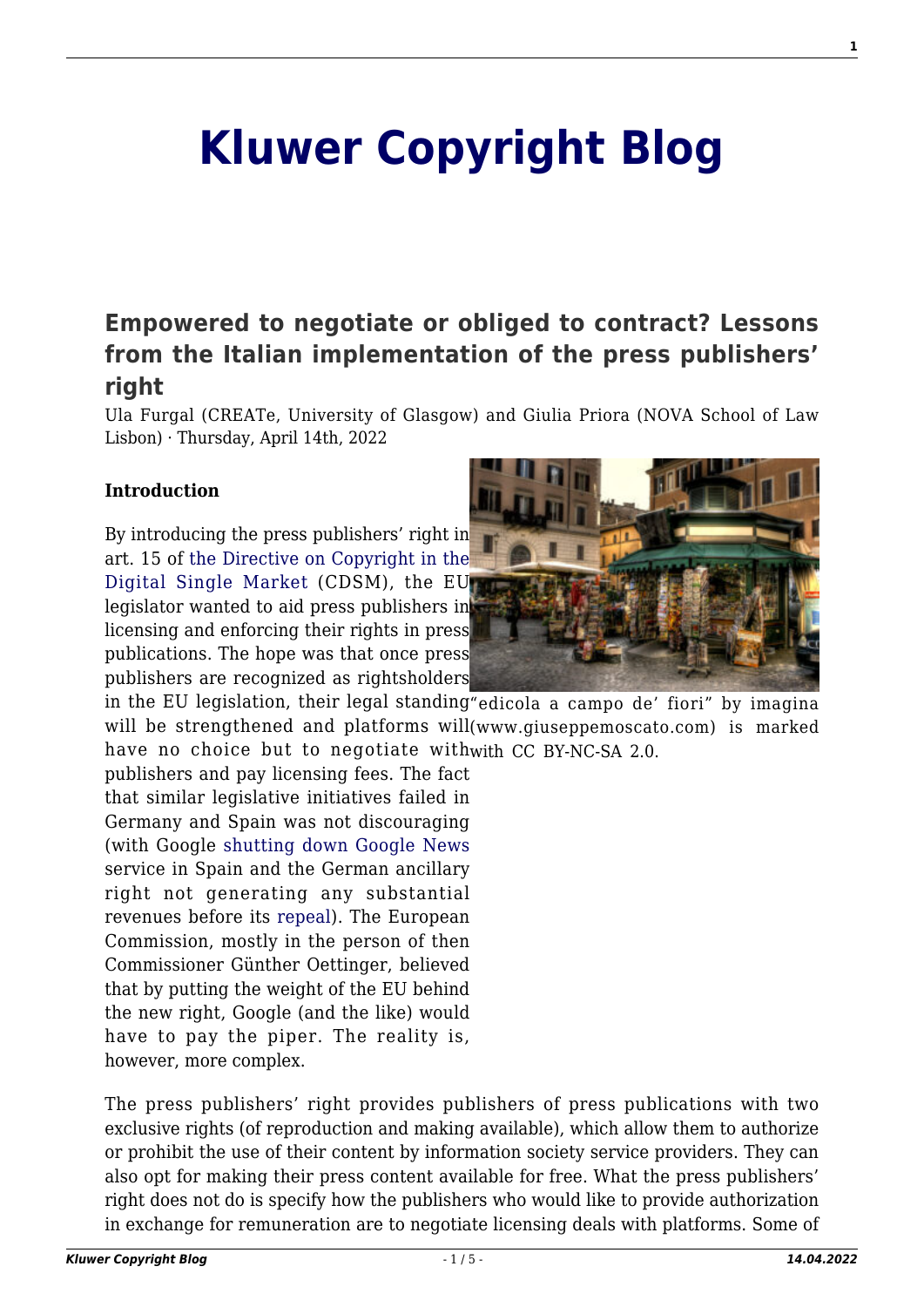# **[Kluwer Copyright Blog](http://copyrightblog.kluweriplaw.com/)**

## **[Empowered to negotiate or obliged to contract? Lessons](http://copyrightblog.kluweriplaw.com/2022/04/14/empowered-to-negotiate-or-obliged-to-contract-lessons-from-the-italian-implementation-of-the-press-publishers-right/) [from the Italian implementation of the press publishers'](http://copyrightblog.kluweriplaw.com/2022/04/14/empowered-to-negotiate-or-obliged-to-contract-lessons-from-the-italian-implementation-of-the-press-publishers-right/) [right](http://copyrightblog.kluweriplaw.com/2022/04/14/empowered-to-negotiate-or-obliged-to-contract-lessons-from-the-italian-implementation-of-the-press-publishers-right/)**

Ula Furgal (CREATe, University of Glasgow) and Giulia Priora (NOVA School of Law Lisbon) · Thursday, April 14th, 2022

### **Introduction**

By introducing the press publishers' right in art. 15 of [the Directive on Copyright in the](https://eur-lex.europa.eu/eli/dir/2019/790/oj) [Digital Single Market](https://eur-lex.europa.eu/eli/dir/2019/790/oj) (CDSM), the EU legislator wanted to aid press publishers in licensing and enforcing their rights in press publications. The hope was that once press publishers are recognized as rightsholders



in the EU legislation, their legal standing"edicola a campo de' fiori" by imagina will be strengthened and platforms will(www.giuseppemoscato.com) is marked have no choice but to negotiate withwith CC BY-NC-SA 2.0.

publishers and pay licensing fees. The fact that similar legislative initiatives failed in Germany and Spain was not discouraging (with Google [shutting down Google News](https://europe.googleblog.com/2014/12/an-update-on-google-news-in-spain.html) service in Spain and the German ancillary right not generating any substantial revenues before its [repeal](https://curia.europa.eu/juris/liste.jsf?language=en&jur=C%2CT%2CF&num=C-299/17&parties=&dates=error&docnodecision=docnodecision&allcommjo=allcommjo&affint=affint&affclose=affclose&alldocrec=alldocrec&docdecision=docdecision&docor=docor&docav=docav&docsom=docsom&docinf=docinf&alldocnorec=alldocnorec&docnoor=docnoor&docppoag=docppoag&radtypeord=on&newform=newform&docj=docj&docop=docop&docnoj=docnoj&typeord=ALL&domaine=&mots=&resmax=100&Submit=Rechercher)). The European Commission, mostly in the person of then Commissioner Günther Oettinger, believed that by putting the weight of the EU behind the new right, Google (and the like) would have to pay the piper. The reality is, however, more complex.

The press publishers' right provides publishers of press publications with two exclusive rights (of reproduction and making available), which allow them to authorize or prohibit the use of their content by information society service providers. They can also opt for making their press content available for free. What the press publishers' right does not do is specify how the publishers who would like to provide authorization in exchange for remuneration are to negotiate licensing deals with platforms. Some of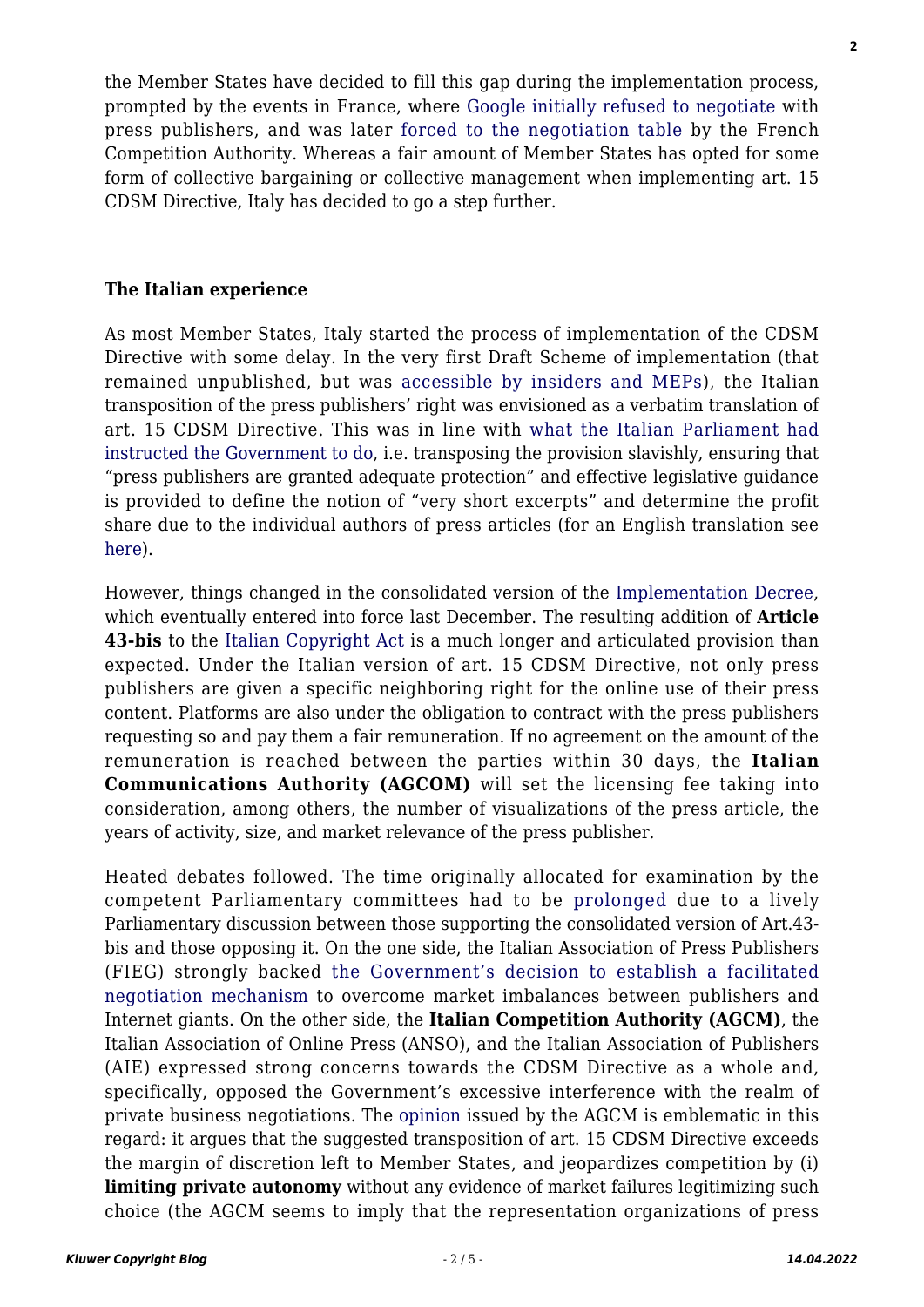the Member States have decided to fill this gap during the implementation process, prompted by the events in France, where [Google initially refused to negotiate](https://france.googleblog.com/2019/09/comment-nous-respectons-le-droit-dauteur.html) with press publishers, and was later [forced to the negotiation table](https://www.autoritedelaconcurrence.fr/fr/communiques-de-presse/droits-voisins-lautorite-fait-droit-aux-demandes-de-mesures-conservatoires) by the French Competition Authority. Whereas a fair amount of Member States has opted for some form of collective bargaining or collective management when implementing art. 15 CDSM Directive, Italy has decided to go a step further.

#### **The Italian experience**

As most Member States, Italy started the process of implementation of the CDSM Directive with some delay. In the very first Draft Scheme of implementation (that remained unpublished, but was [accessible by insiders and MEPs\)](http://copyrightblog.kluweriplaw.com/2021/05/27/towards-the-italian-implementation-of-the-cdsm-directive/), the Italian transposition of the press publishers' right was envisioned as a verbatim translation of art. 15 CDSM Directive. This was in line with [what the Italian Parliament had](https://www.senato.it/japp/bgt/showdoc/18/DDLPRES/0/1143637/index.html?part=ddlpres_ddlpres1-articolato_articolato1-articolo_articolo9) [instructed the Government to do](https://www.senato.it/japp/bgt/showdoc/18/DDLPRES/0/1143637/index.html?part=ddlpres_ddlpres1-articolato_articolato1-articolo_articolo9), i.e. transposing the provision slavishly, ensuring that "press publishers are granted adequate protection" and effective legislative guidance is provided to define the notion of "very short excerpts" and determine the profit share due to the individual authors of press articles (for an English translation see [here](https://www.create.ac.uk/wp-content/uploads/2020/09/GP_Italian-Senate-update-14-Sept-2020-2.pdf)).

However, things changed in the consolidated version of the [Implementation Decree](https://www.gazzettaufficiale.it/eli/id/2021/11/27/21G00192/sg)), which eventually entered into force last December. The resulting addition of **Article 43-bis** to the [Italian Copyright Act](https://www.altalex.com/documents/codici-altalex/2014/06/26/legge-sul-diritto-d-autore#titolo1) is a much longer and articulated provision than expected. Under the Italian version of art. 15 CDSM Directive, not only press publishers are given a specific neighboring right for the online use of their press content. Platforms are also under the obligation to contract with the press publishers requesting so and pay them a fair remuneration. If no agreement on the amount of the remuneration is reached between the parties within 30 days, the **Italian Communications Authority (AGCOM)** will set the licensing fee taking into consideration, among others, the number of visualizations of the press article, the years of activity, size, and market relevance of the press publisher.

Heated debates followed. The time originally allocated for examination by the competent Parliamentary committees had to be [prolonged](https://www.corrierecomunicazioni.it/digital-economy/diritto-dautore-slitta-il-parere-delle-camere-avranno-tempo-fino-al-15-ottobre/) due to a lively Parliamentary discussion between those supporting the consolidated version of Art.43 bis and those opposing it. On the one side, the Italian Association of Press Publishers (FIEG) strongly backed [the Government's decision to establish a facilitated](https://www.fieg.it/salastampa_item.asp?sta_id=1398) [negotiation mechanism](https://www.fieg.it/salastampa_item.asp?sta_id=1398) to overcome market imbalances between publishers and Internet giants. On the other side, the **Italian Competition Authority (AGCM)**, the Italian Association of Online Press (ANSO), and the Italian Association of Publishers (AIE) expressed strong concerns towards the CDSM Directive as a whole and, specifically, opposed the Government's excessive interference with the realm of private business negotiations. The [opinion](https://www.google.com/url?sa=t&rct=j&q=&esrc=s&source=web&cd=&ved=2ahUKEwje_vqFw_X2AhWIO-wKHVv_DTkQFnoECAMQAQ&url=https%3A%2F%2Fwww.agcm.it%2FdotcmsCustom%2FgetDominoAttach%3FurlStr%3D192.168.14.10%3A8080%2FC12563290035806C%2F0%2F367306AE271529B9C1258749002EA784%2F%24File%2FAS1788.pdf&usg=AOvVaw1zfAYJPrbR_ekZEqH2j4cB) issued by the AGCM is emblematic in this regard: it argues that the suggested transposition of art. 15 CDSM Directive exceeds the margin of discretion left to Member States, and jeopardizes competition by (i) **limiting private autonomy** without any evidence of market failures legitimizing such choice (the AGCM seems to imply that the representation organizations of press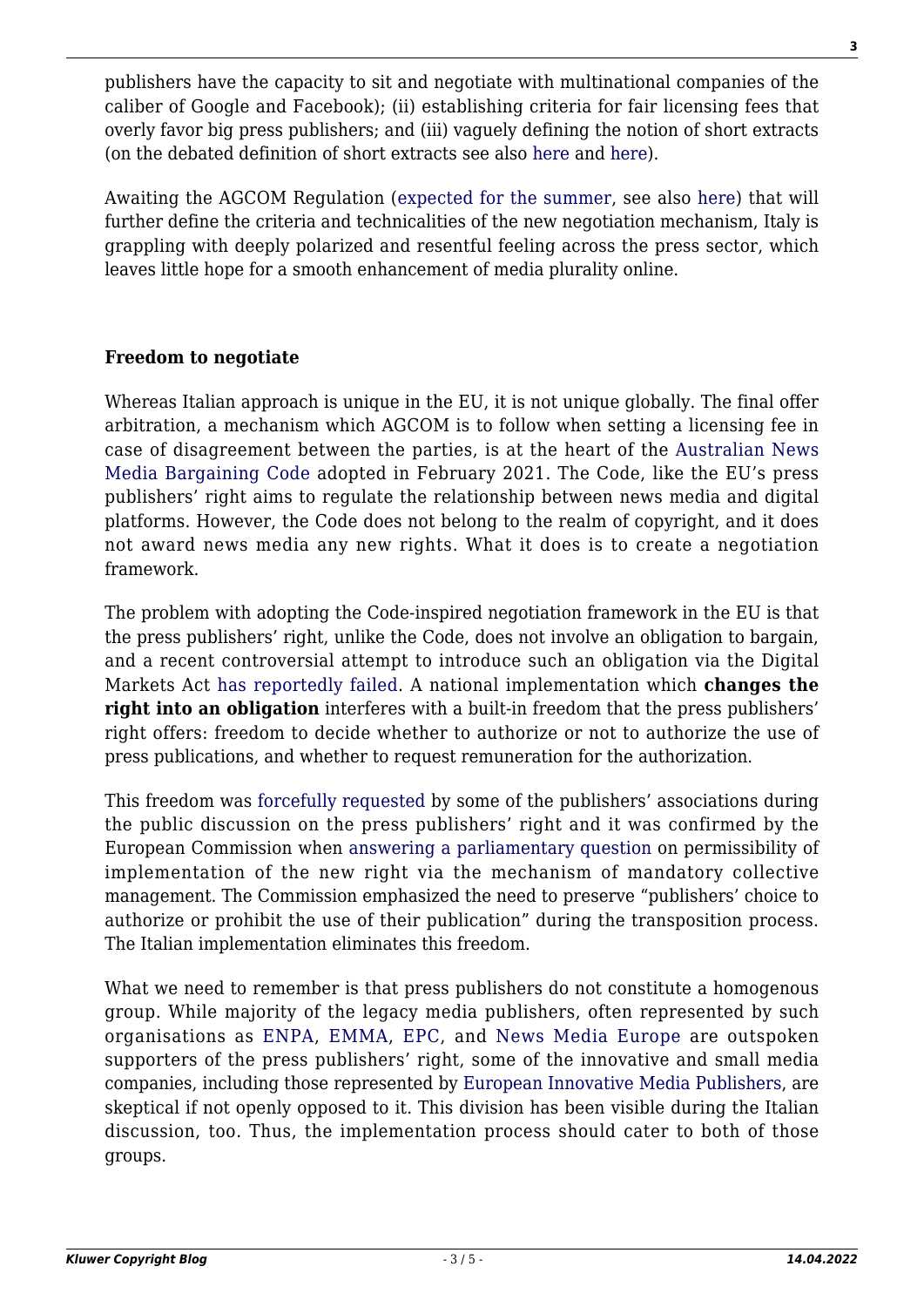publishers have the capacity to sit and negotiate with multinational companies of the caliber of Google and Facebook); (ii) establishing criteria for fair licensing fees that overly favor big press publishers; and (iii) vaguely defining the notion of short extracts (on the debated definition of short extracts see also [here](http://copyrightblog.kluweriplaw.com/2022/03/30/taking-freedom-of-information-seriously-the-very-short-extracts-limitation-in-article-15-cdsm-directive-and-how-not-to-implement-it-part-1/) and [here](http://copyrightblog.kluweriplaw.com/2022/03/31/taking-freedom-of-information-seriously-the-very-short-extracts-limitation-in-article-15-cdsm-directive-and-how-not-to-implement-it-part-2/)).

Awaiting the AGCOM Regulation [\(expected for the summer](https://notiziario.uspi.it/copyright-agcom-avviera-a-marzo-le-consultazioni-per-il-regolamento/), see also [here](https://formiche.net/2022/04/copyright-equo-compenso-preta/)) that will further define the criteria and technicalities of the new negotiation mechanism, Italy is grappling with deeply polarized and resentful feeling across the press sector, which leaves little hope for a smooth enhancement of media plurality online.

#### **Freedom to negotiate**

Whereas Italian approach is unique in the EU, it is not unique globally. The final offer arbitration, a mechanism which AGCOM is to follow when setting a licensing fee in case of disagreement between the parties, is at the heart of the [Australian News](https://www.aph.gov.au/Parliamentary_Business/Bills_Legislation/Bills_Search_Results/Result?bId=r6652) [Media Bargaining Code](https://www.aph.gov.au/Parliamentary_Business/Bills_Legislation/Bills_Search_Results/Result?bId=r6652) adopted in February 2021. The Code, like the EU's press publishers' right aims to regulate the relationship between news media and digital platforms. However, the Code does not belong to the realm of copyright, and it does not award news media any new rights. What it does is to create a negotiation framework.

The problem with adopting the Code-inspired negotiation framework in the EU is that the press publishers' right, unlike the Code, does not involve an obligation to bargain, and a recent controversial attempt to introduce such an obligation via the Digital Markets Act [has reportedly failed.](https://twitter.com/repasi/status/1507641330650030081) A national implementation which **changes the right into an obligation** interferes with a built-in freedom that the press publishers' right offers: freedom to decide whether to authorize or not to authorize the use of press publications, and whether to request remuneration for the authorization.

This freedom was [forcefully requested](https://mediapublishers.eu/2019/01/16/letter-to-the-eu-ambassadors-on-article-11-co-signed-by-consumer-organisations-and-the-european-innovative-media-publishers/) by some of the publishers' associations during the public discussion on the press publishers' right and it was confirmed by the European Commission when [answering a parliamentary question](https://www.europarl.europa.eu/doceo/document/E-9-2020-004603-ASW_EN.html) on permissibility of implementation of the new right via the mechanism of mandatory collective management. The Commission emphasized the need to preserve "publishers' choice to authorize or prohibit the use of their publication" during the transposition process. The Italian implementation eliminates this freedom.

What we need to remember is that press publishers do not constitute a homogenous group. While majority of the legacy media publishers, often represented by such organisations as [ENPA,](https://enpa.eu/) [EMMA](https://www.magazinemedia.eu/), [EPC,](https://www.epceurope.eu/) and [News Media Europe](http://www.newsmediaeurope.eu/) are outspoken supporters of the press publishers' right, some of the innovative and small media companies, including those represented by [European Innovative Media Publishers,](https://mediapublishers.eu/) are skeptical if not openly opposed to it. This division has been visible during the Italian discussion, too. Thus, the implementation process should cater to both of those groups.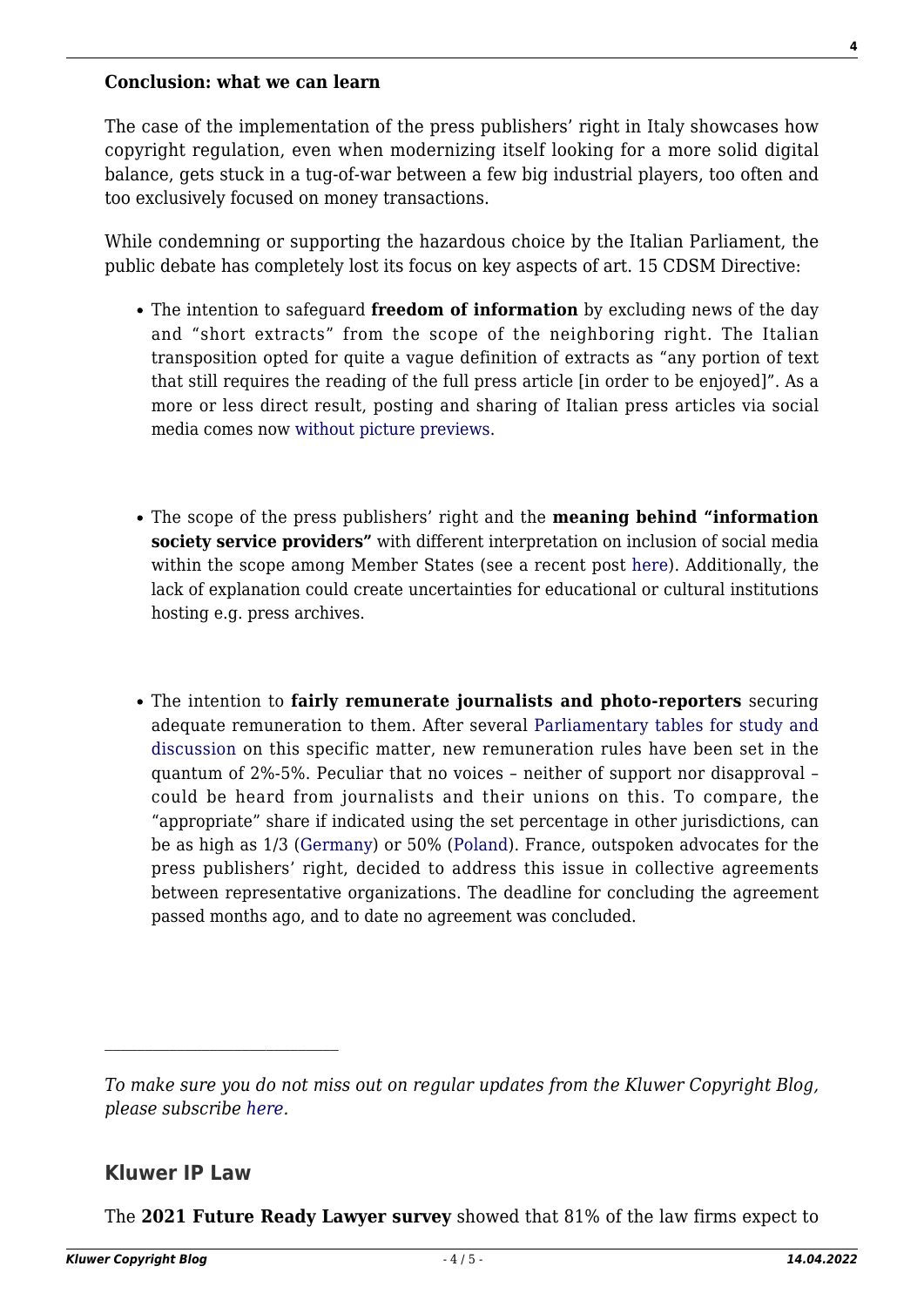#### **Conclusion: what we can learn**

The case of the implementation of the press publishers' right in Italy showcases how copyright regulation, even when modernizing itself looking for a more solid digital balance, gets stuck in a tug-of-war between a few big industrial players, too often and too exclusively focused on money transactions.

While condemning or supporting the hazardous choice by the Italian Parliament, the public debate has completely lost its focus on key aspects of art. 15 CDSM Directive:

- The intention to safeguard **freedom of information** by excluding news of the day and "short extracts" from the scope of the neighboring right. The Italian transposition opted for quite a vague definition of extracts as "any portion of text that still requires the reading of the full press article [in order to be enjoyed]". As a more or less direct result, posting and sharing of Italian press articles via social media comes now [without picture previews.](https://www.agendadigitale.eu/documenti/giustizia-digitale/direttiva-copyright-perche-non-si-vedono-piu-le-anteprime-degli-articoli-condivisi-sui-social/)
- The scope of the press publishers' right and the **meaning behind "information society service providers"** with different interpretation on inclusion of social media within the scope among Member States (see a recent post [here\)](http://copyrightblog.kluweriplaw.com/2021/11/04/press-publishers-right-social-media-enter-the-stage/). Additionally, the lack of explanation could create uncertainties for educational or cultural institutions hosting e.g. press archives.
- The intention to **fairly remunerate journalists and photo-reporters** securing adequate remuneration to them. After several [Parliamentary tables for study and](https://agcult.it/a/45152/2021-09-27/copyright-moles-direttiva-e-primo-passo-per-un-nuova-idea-di-sistema-editoriale) [discussion](https://agcult.it/a/45152/2021-09-27/copyright-moles-direttiva-e-primo-passo-per-un-nuova-idea-di-sistema-editoriale) on this specific matter, new remuneration rules have been set in the quantum of 2%-5%. Peculiar that no voices – neither of support nor disapproval – could be heard from journalists and their unions on this. To compare, the "appropriate" share if indicated using the set percentage in other jurisdictions, can be as high as 1/3 ([Germany](https://www.bmj.de/SharedDocs/Gesetzgebungsverfahren/Dokumente/Bgbl_NetzDG.html;jsessionid=E48814ADA33ACED8C498C09FB2988A47.1_cid289?nn=6712350)) or 50% [\(Poland\)](https://www.gov.pl/web/premier/projekt-ustawy-o-zmianie-ustawy-o-prawie-autorskim-i-prawach-pokrewnych-oraz-niektorych-innych-ustaw2). France, outspoken advocates for the press publishers' right, decided to address this issue in collective agreements between representative organizations. The deadline for concluding the agreement passed months ago, and to date no agreement was concluded.

#### **Kluwer IP Law**

The **2021 Future Ready Lawyer survey** showed that 81% of the law firms expect to

*To make sure you do not miss out on regular updates from the Kluwer Copyright Blog, please subscribe [here.](http://copyrightblog.kluweriplaw.com/newsletter)*